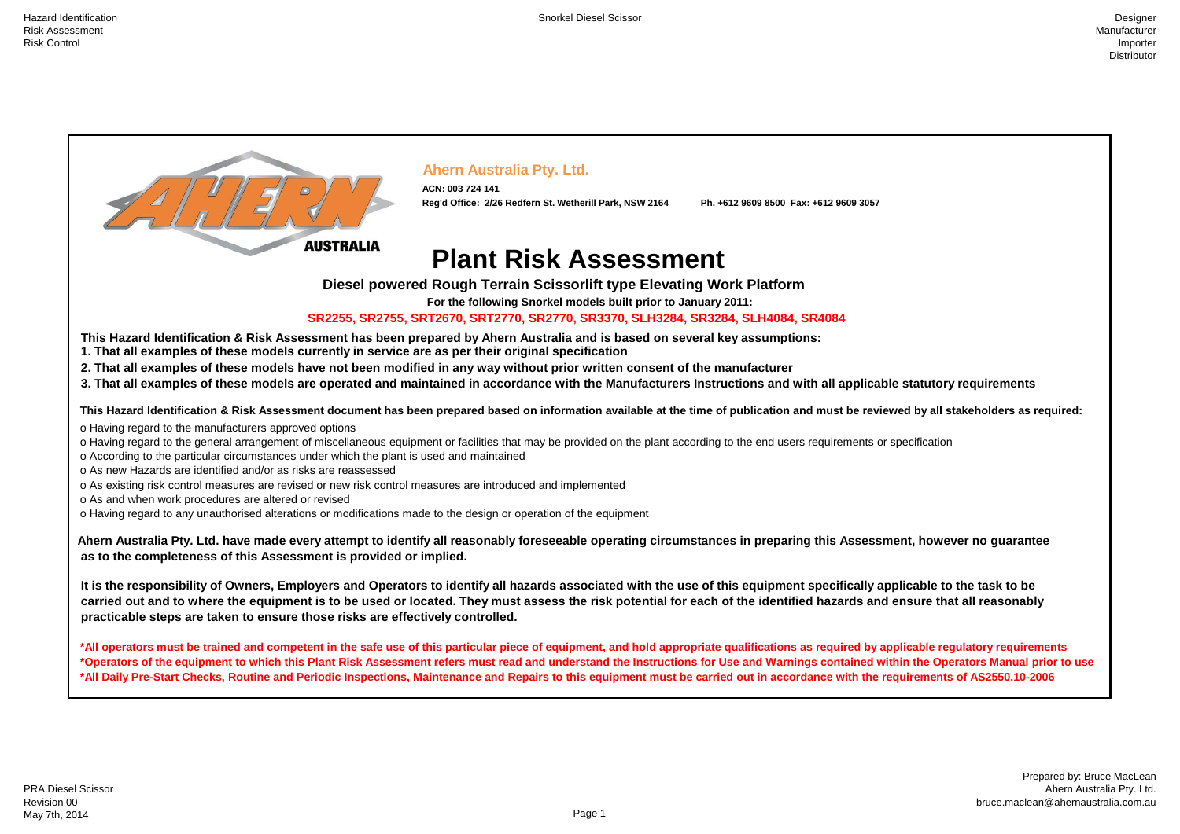

**Ahern Australia Pty. Ltd.**

**ACN: 003 724 141 Reg'd Office: 2/26 Redfern St. Wetherill Park, NSW 2164 Ph. +612 9609 8500 Fax: +612 9609 3057**

## **Plant Risk Assessment**

 **SR2255, SR2755, SRT2670, SRT2770, SR2770, SR3370, SLH3284, SR3284, SLH4084, SR4084**

 **1. That all examples of these models currently in service are as per their original specification**

**AUSTRALIA** 

- **2. That all examples of these models have not been modified in any way without prior written consent of the manufacturer**
- **3. That all examples of these models are operated and maintained in accordance with the Manufacturers Instructions and with all applicable statutory requirements**

- o Having regard to the manufacturers approved options
- o Having regard to the general arrangement of miscellaneous equipment or facilities that may be provided on the plant according to the end users requirements or specification
- o According to the particular circumstances under which the plant is used and maintained
- o As new Hazards are identified and/or as risks are reassessed
- o As existing risk control measures are revised or new risk control measures are introduced and implemented
- o As and when work procedures are altered or revised
- o Having regard to any unauthorised alterations or modifications made to the design or operation of the equipment

 **Ahern Australia Pty. Ltd. have made every attempt to identify all reasonably foreseeable operating circumstances in preparing this Assessment, however no guarantee as to the completeness of this Assessment is provided or implied.**

 **\*All operators must be trained and competent in the safe use of this particular piece of equipment, and hold appropriate qualifications as required by applicable regulatory requirements \*Operators of the equipment to which this Plant Risk Assessment refers must read and understand the Instructions for Use and Warnings contained within the Operators Manual prior to use \*All Daily Pre-Start Checks, Routine and Periodic Inspections, Maintenance and Repairs to this equipment must be carried out in accordance with the requirements of AS2550.10-2006**

**This Hazard Identification & Risk Assessment has been prepared by Ahern Australia and is based on several key assumptions:**

 **It is the responsibility of Owners, Employers and Operators to identify all hazards associated with the use of this equipment specifically applicable to the task to be practicable steps are taken to ensure those risks are effectively controlled. carried out and to where the equipment is to be used or located. They must assess the risk potential for each of the identified hazards and ensure that all reasonably** 

 **This Hazard Identification & Risk Assessment document has been prepared based on information available at the time of publication and must be reviewed by all stakeholders as required:** 

## **Diesel powered Rough Terrain Scissorlift type Elevating Work Platform**

**For the following Snorkel models built prior to January 2011:**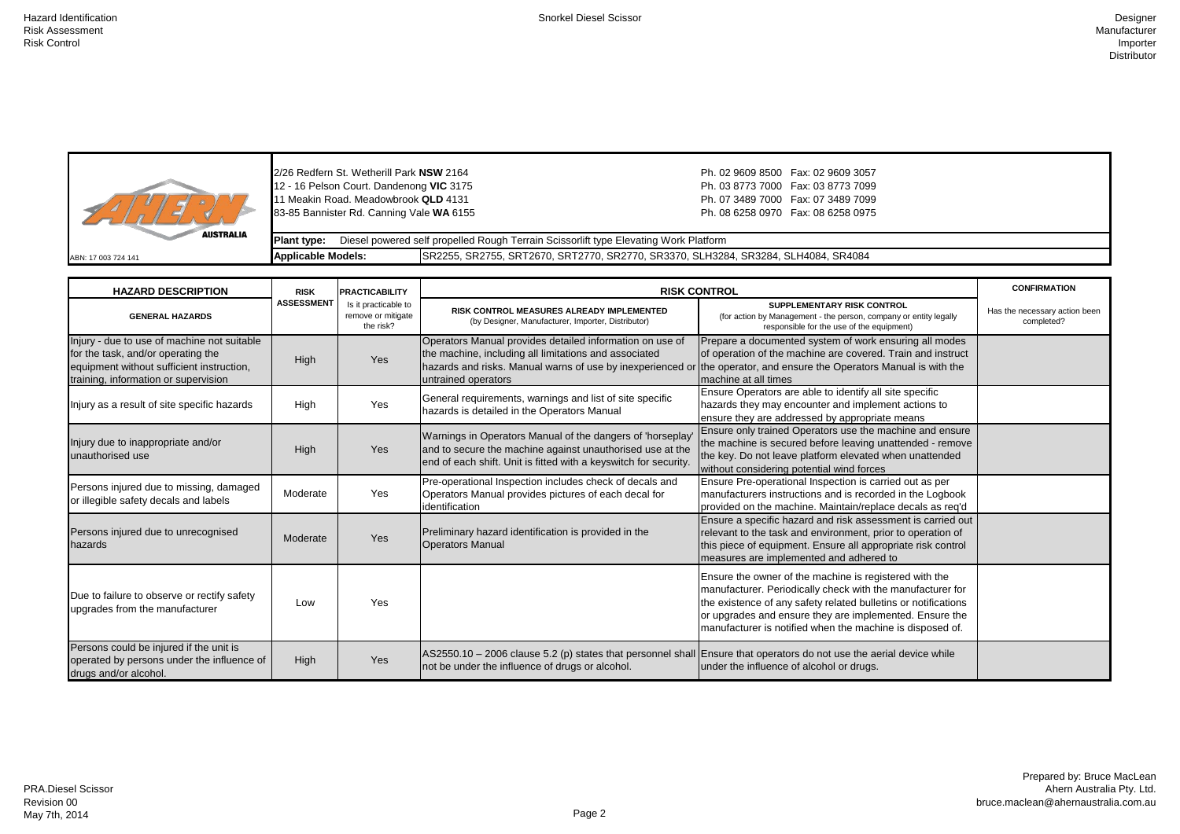|                     | 2/26 Redfern St. Wetherill Park NSW 2164<br>12 - 16 Pelson Court. Dandenong VIC 3175<br>11 Meakin Road. Meadowbrook QLD 4131<br>83-85 Bannister Rd. Canning Vale WA 6155 |                                                                                      | Ph. 02 9609 8500 Fax: 02 9609 3057<br>Ph. 03 8773 7000 Fax: 03 8773 7099<br>Ph. 07 3489 7000 Fax: 07 3489 7099<br>Ph. 08 6258 0970  Fax: 08 6258 0975 |
|---------------------|--------------------------------------------------------------------------------------------------------------------------------------------------------------------------|--------------------------------------------------------------------------------------|-------------------------------------------------------------------------------------------------------------------------------------------------------|
| <b>AUSTRALIA</b>    | <b>Plant type:</b>                                                                                                                                                       | Diesel powered self propelled Rough Terrain Scissorlift type Elevating Work Platform |                                                                                                                                                       |
| ABN: 17 003 724 141 | <b>Applicable Models:</b>                                                                                                                                                |                                                                                      | SR2255, SR2755, SRT2670, SRT2770, SR2770, SR3370, SLH3284, SR3284, SLH4084, SR4084                                                                    |
|                     |                                                                                                                                                                          |                                                                                      |                                                                                                                                                       |

|                                                                                  | <b>CONFIRMATION</b>                         |
|----------------------------------------------------------------------------------|---------------------------------------------|
| r entity legally<br>t)                                                           | Has the necessary action been<br>completed? |
| ng all modes<br>n and instruct<br>al is with the                                 |                                             |
| specific<br>ctions to<br>ans                                                     |                                             |
| e and ensure<br>nded - remove<br>unattended                                      |                                             |
| out as per<br>the Logbook<br>ecals as req'd                                      |                                             |
| t is carried out<br>operation of<br>e risk control                               |                                             |
| d with the<br>nufacturer for<br>r notifications<br>d. Ensure the<br>disposed of. |                                             |
| evice while                                                                      |                                             |

| <b>HAZARD DESCRIPTION</b>                                                                                                                                              | <b>RISK</b>       | <b>PRACTICABILITY</b>                                   | <b>RISK CONTROL</b>                                                                                                                                                                                                                                              | <b>CONFIRMATION</b>                                                                                                                                                                                                                                                                                            |                                       |
|------------------------------------------------------------------------------------------------------------------------------------------------------------------------|-------------------|---------------------------------------------------------|------------------------------------------------------------------------------------------------------------------------------------------------------------------------------------------------------------------------------------------------------------------|----------------------------------------------------------------------------------------------------------------------------------------------------------------------------------------------------------------------------------------------------------------------------------------------------------------|---------------------------------------|
| <b>GENERAL HAZARDS</b>                                                                                                                                                 | <b>ASSESSMENT</b> | Is it practicable to<br>remove or mitigate<br>the risk? | <b>RISK CONTROL MEASURES ALREADY IMPLEMENTED</b><br>(by Designer, Manufacturer, Importer, Distributor)                                                                                                                                                           | <b>SUPPLEMENTARY RISK CONTROL</b><br>(for action by Management - the person, company or entity legally<br>responsible for the use of the equipment)                                                                                                                                                            | Has the necessary actic<br>completed? |
| Injury - due to use of machine not suitable<br>for the task, and/or operating the<br>equipment without sufficient instruction,<br>training, information or supervision | High              | Yes                                                     | Operators Manual provides detailed information on use of<br>the machine, including all limitations and associated<br>hazards and risks. Manual warns of use by inexperienced or the operator, and ensure the Operators Manual is with the<br>untrained operators | Prepare a documented system of work ensuring all modes<br>of operation of the machine are covered. Train and instruct<br>machine at all times                                                                                                                                                                  |                                       |
| Injury as a result of site specific hazards                                                                                                                            | High              | Yes                                                     | General requirements, warnings and list of site specific<br>hazards is detailed in the Operators Manual                                                                                                                                                          | Ensure Operators are able to identify all site specific<br>hazards they may encounter and implement actions to<br>ensure they are addressed by appropriate means                                                                                                                                               |                                       |
| Injury due to inappropriate and/or<br>unauthorised use                                                                                                                 | High              | Yes                                                     | Warnings in Operators Manual of the dangers of 'horseplay'<br>and to secure the machine against unauthorised use at the<br>end of each shift. Unit is fitted with a keyswitch for security.                                                                      | Ensure only trained Operators use the machine and ensure<br>the machine is secured before leaving unattended - remove<br>the key. Do not leave platform elevated when unattended<br>without considering potential wind forces                                                                                  |                                       |
| Persons injured due to missing, damaged<br>or illegible safety decals and labels                                                                                       | Moderate          | Yes                                                     | Pre-operational Inspection includes check of decals and<br>Operators Manual provides pictures of each decal for<br>identification                                                                                                                                | Ensure Pre-operational Inspection is carried out as per<br>manufacturers instructions and is recorded in the Logbook<br>provided on the machine. Maintain/replace decals as req'd                                                                                                                              |                                       |
| Persons injured due to unrecognised<br>hazards                                                                                                                         | Moderate          | Yes                                                     | Preliminary hazard identification is provided in the<br><b>Operators Manual</b>                                                                                                                                                                                  | Ensure a specific hazard and risk assessment is carried out<br>relevant to the task and environment, prior to operation of<br>this piece of equipment. Ensure all appropriate risk control<br>measures are implemented and adhered to                                                                          |                                       |
| Due to failure to observe or rectify safety<br>upgrades from the manufacturer                                                                                          | Low               | Yes                                                     |                                                                                                                                                                                                                                                                  | Ensure the owner of the machine is registered with the<br>manufacturer. Periodically check with the manufacturer for<br>the existence of any safety related bulletins or notifications<br>or upgrades and ensure they are implemented. Ensure the<br>manufacturer is notified when the machine is disposed of. |                                       |
| Persons could be injured if the unit is<br>operated by persons under the influence of<br>drugs and/or alcohol.                                                         | High              | Yes                                                     | AS2550.10 – 2006 clause 5.2 (p) states that personnel shall Ensure that operators do not use the aerial device while<br>not be under the influence of drugs or alcohol.                                                                                          | under the influence of alcohol or drugs.                                                                                                                                                                                                                                                                       |                                       |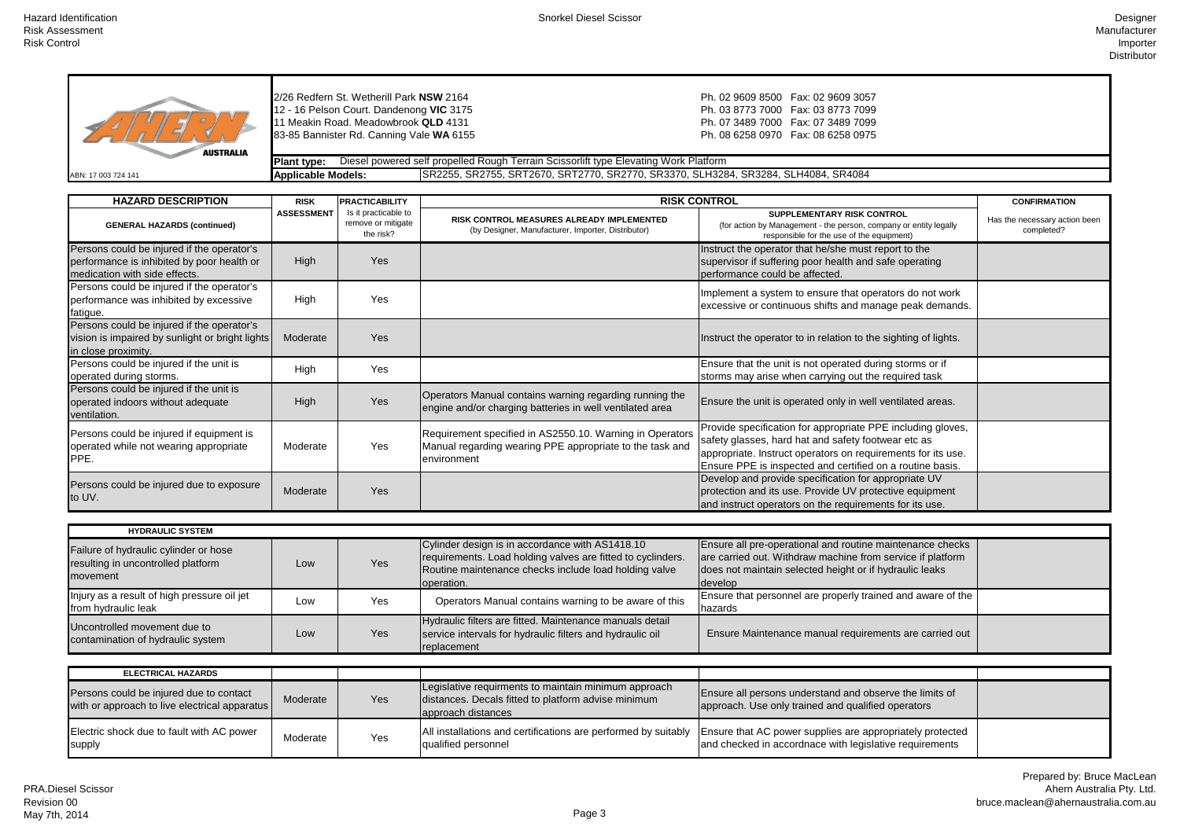2/26 Redfern St. Wetherill Park **NSW** 2164 Ph. 02 9609 8500 Fax: 02 9609 3057 12 - 16 Pelson Court. Dandenong VIC 3175 11 Meakin Road. Meadowbrook **QLD** 4131 Ph. 07 3489 7000 Fax: 07 3489 7099 83-85 Bannister Rd. Canning Vale WA 6155

 Prepared by: Bruce MacLean Ahern Australia Pty. Ltd. bruce.maclean@ahernaustralia.com.au



**Plant type:** Diesel powered self propelled Rough Terrain Scissorlift type Elevating Work Platform SR2255, SR2755, SRT2670, SRT2770, SR2770, SR3370, SLH3284, SR3284, SLH4084, SR4084

|                                              | <b>CONFIRMATION</b>                         |
|----------------------------------------------|---------------------------------------------|
| itity legally                                | Has the necessary action been<br>completed? |
| ٦è<br>ating                                  |                                             |
| not work<br>k demands.                       |                                             |
| of lights.                                   |                                             |
| s or if<br>task                              |                                             |
| d areas.                                     |                                             |
| ng gloves,<br>as<br>or its use.<br>ne basis. |                                             |
| e UV<br><b>uipment</b><br>s use.             |                                             |

| nce checks<br>if platform<br>leaks |  |
|------------------------------------|--|
| ware of the                        |  |
| carried out                        |  |

| limits of<br><b>prs</b> |  |
|-------------------------|--|
| protected<br>irements   |  |

| <b>ELECTRICAL HAZARDS</b>                                                                |          |     |                                                                                                                                   |                                                                                                                      |
|------------------------------------------------------------------------------------------|----------|-----|-----------------------------------------------------------------------------------------------------------------------------------|----------------------------------------------------------------------------------------------------------------------|
| Persons could be injured due to contact<br>with or approach to live electrical apparatus | Moderate | Yes | Legislative requirments to maintain minimum approach<br>distances. Decals fitted to platform advise minimum<br>approach distances | Ensure all persons understand and observe the limits of<br>approach. Use only trained and qualified operators        |
| Electric shock due to fault with AC power<br>supply                                      | Moderate | Yes | All installations and certifications are performed by suitably<br>qualified personnel                                             | Ensure that AC power supplies are appropriately protected<br>and checked in accordnace with legislative requirements |

| <b>HAZARD DESCRIPTION</b>                                                                                                 | <b>RISK</b>       | <b>PRACTICABILITY</b>                                   |                                                                                                                                     | <b>RISK CONTROL</b>                                                                                                                                                                                                                             | <b>CONFIRMATION</b>                   |
|---------------------------------------------------------------------------------------------------------------------------|-------------------|---------------------------------------------------------|-------------------------------------------------------------------------------------------------------------------------------------|-------------------------------------------------------------------------------------------------------------------------------------------------------------------------------------------------------------------------------------------------|---------------------------------------|
| <b>GENERAL HAZARDS (continued)</b>                                                                                        | <b>ASSESSMENT</b> | Is it practicable to<br>remove or mitigate<br>the risk? | <b>RISK CONTROL MEASURES ALREADY IMPLEMENTED</b><br>(by Designer, Manufacturer, Importer, Distributor)                              | <b>SUPPLEMENTARY RISK CONTROL</b><br>(for action by Management - the person, company or entity legally<br>responsible for the use of the equipment)                                                                                             | Has the necessary actic<br>completed? |
| Persons could be injured if the operator's<br>performance is inhibited by poor health or<br>medication with side effects. | High              | Yes                                                     |                                                                                                                                     | Instruct the operator that he/she must report to the<br>supervisor if suffering poor health and safe operating<br>performance could be affected.                                                                                                |                                       |
| Persons could be injured if the operator's<br>berformance was inhibited by excessive<br>fatigue.                          | High              | Yes                                                     |                                                                                                                                     | Implement a system to ensure that operators do not work<br>excessive or continuous shifts and manage peak demands.                                                                                                                              |                                       |
| Persons could be injured if the operator's<br>vision is impaired by sunlight or bright lights<br>in close proximity.      | Moderate          | Yes                                                     |                                                                                                                                     | Instruct the operator to in relation to the sighting of lights.                                                                                                                                                                                 |                                       |
| Persons could be injured if the unit is<br>operated during storms.                                                        | High              | Yes                                                     |                                                                                                                                     | Ensure that the unit is not operated during storms or if<br>storms may arise when carrying out the required task                                                                                                                                |                                       |
| Persons could be injured if the unit is<br>operated indoors without adequate<br>ventilation.                              | High              | Yes                                                     | Operators Manual contains warning regarding running the<br>engine and/or charging batteries in well ventilated area                 | Ensure the unit is operated only in well ventilated areas.                                                                                                                                                                                      |                                       |
| Persons could be injured if equipment is<br>operated while not wearing appropriate<br>PPE.                                | Moderate          | Yes                                                     | Requirement specified in AS2550.10. Warning in Operators<br>Manual regarding wearing PPE appropriate to the task and<br>environment | Provide specification for appropriate PPE including gloves,<br>safety glasses, hard hat and safety footwear etc as<br>appropriate. Instruct operators on requirements for its use.<br>Ensure PPE is inspected and certified on a routine basis. |                                       |
| Persons could be injured due to exposure<br>to UV.                                                                        | Moderate          | Yes                                                     |                                                                                                                                     | Develop and provide specification for appropriate UV<br>protection and its use. Provide UV protective equipment<br>and instruct operators on the requirements for its use.                                                                      |                                       |

| <b>HYDRAULIC SYSTEM</b>                                                                         |     |     |                                                                                                                                                                                       |                                                                                                                                                                                               |
|-------------------------------------------------------------------------------------------------|-----|-----|---------------------------------------------------------------------------------------------------------------------------------------------------------------------------------------|-----------------------------------------------------------------------------------------------------------------------------------------------------------------------------------------------|
| Failure of hydraulic cylinder or hose<br>resulting in uncontrolled platform<br><b>Imovement</b> | Low | Yes | Cylinder design is in accordance with AS1418.10<br>requirements. Load holding valves are fitted to cyclinders.<br>Routine maintenance checks include load holding valve<br>operation. | Ensure all pre-operational and routine maintenance checks<br>are carried out. Withdraw machine from service if platform<br>does not maintain selected height or if hydraulic leaks<br>develop |
| Injury as a result of high pressure oil jet<br>from hydraulic leak                              | Low | Yes | Operators Manual contains warning to be aware of this                                                                                                                                 | Ensure that personnel are properly trained and aware of the<br>hazards                                                                                                                        |
| Uncontrolled movement due to<br>contamination of hydraulic system                               | Low | Yes | Hydraulic filters are fitted. Maintenance manuals detail<br>service intervals for hydraulic filters and hydraulic oil<br>replacement                                                  | Ensure Maintenance manual requirements are carried out                                                                                                                                        |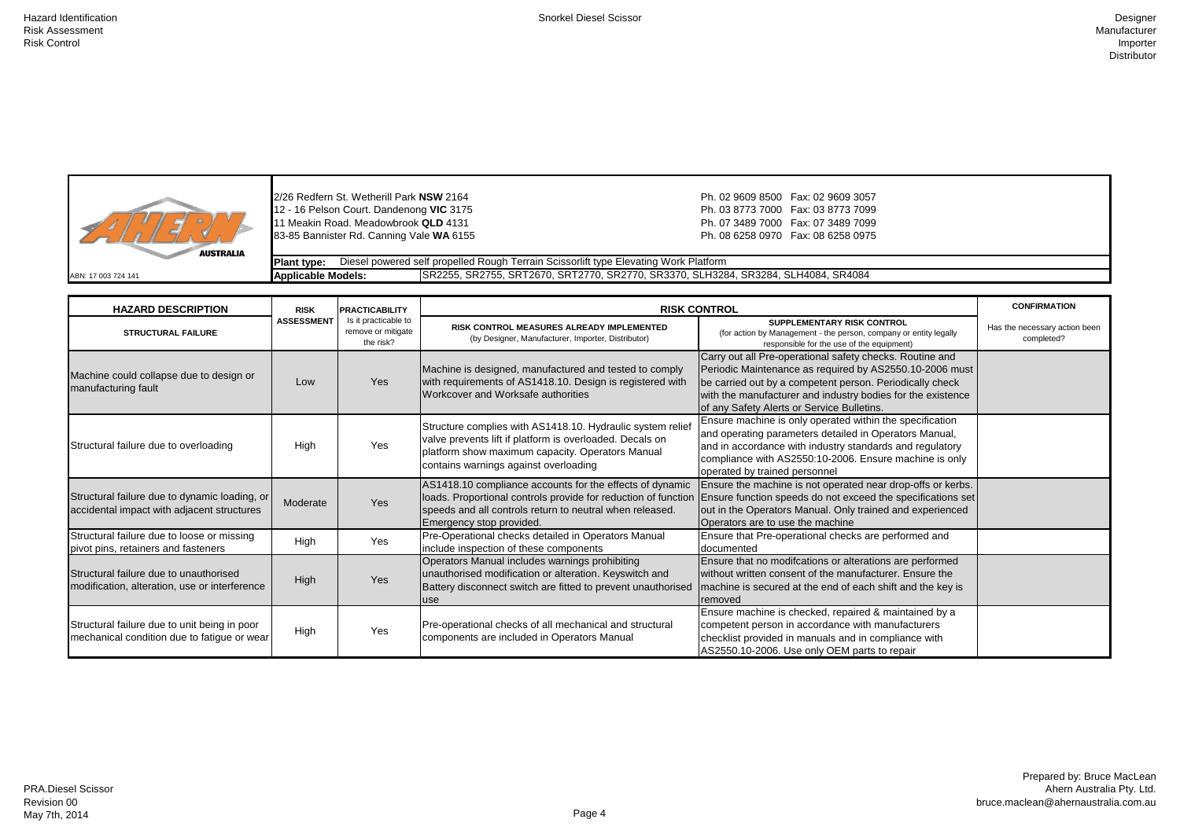2/26 Redfern St. Wetherill Park **NSW** 2164 Ph. 02 9609 8500 Fax: 02 9609 3057 12 - 16 Pelson Court. Dandenong **VIC** 3175 Ph. 03 8773 7000 Fax: 03 8773 7099 11 Meakin Road. Meadowbrook **QLD** 4131 Ph. 07 3489 7000 Fax: 07 3489 7099 83-85 Bannister Rd. Canning Vale WA 6155



|                                                            | <b>CONFIRMATION</b>                         |
|------------------------------------------------------------|---------------------------------------------|
| tity legally                                               | Has the necessary action been<br>completed? |
| ine and<br>-2006 must<br>lly check<br>existence            |                                             |
| ification<br>Manual,<br>egulatory<br>ine is only           |                                             |
| ffs or kerbs.<br>fications set<br><i><b>sperienced</b></i> |                                             |
| ed and                                                     |                                             |
| erformed<br>ure the<br>the key is                          |                                             |
| ed by a<br><b>rers</b><br>with                             |                                             |

**Plant type:** Diesel powered self propelled Rough Terrain Scissorlift type Elevating Work Platform SR2255, SR2755, SRT2670, SRT2770, SR2770, SR3370, SLH3284, SR3284, SLH4084, SR4084

| <b>HAZARD DESCRIPTION</b>                                                                   | <b>RISK</b><br><b>PRACTICABILITY</b> |                                                         | <b>RISK CONTROL</b>                                                                                                                                                                                                 |                                                                                                                                                                                                                                                                                              |                                       |
|---------------------------------------------------------------------------------------------|--------------------------------------|---------------------------------------------------------|---------------------------------------------------------------------------------------------------------------------------------------------------------------------------------------------------------------------|----------------------------------------------------------------------------------------------------------------------------------------------------------------------------------------------------------------------------------------------------------------------------------------------|---------------------------------------|
| <b>STRUCTURAL FAILURE</b>                                                                   | <b>ASSESSMENT</b>                    | Is it practicable to<br>remove or mitigate<br>the risk? | RISK CONTROL MEASURES ALREADY IMPLEMENTED<br>(by Designer, Manufacturer, Importer, Distributor)                                                                                                                     | <b>SUPPLEMENTARY RISK CONTROL</b><br>(for action by Management - the person, company or entity legally<br>responsible for the use of the equipment)                                                                                                                                          | Has the necessary actic<br>completed? |
| Machine could collapse due to design or<br>manufacturing fault                              | Low                                  | Yes                                                     | Machine is designed, manufactured and tested to comply<br>with requirements of AS1418.10. Design is registered with<br>Workcover and Worksafe authorities                                                           | Carry out all Pre-operational safety checks. Routine and<br>Periodic Maintenance as required by AS2550.10-2006 must<br>be carried out by a competent person. Periodically check<br>with the manufacturer and industry bodies for the existence<br>of any Safety Alerts or Service Bulletins. |                                       |
| Structural failure due to overloading                                                       | High                                 | Yes                                                     | Structure complies with AS1418.10. Hydraulic system relief<br>valve prevents lift if platform is overloaded. Decals on<br>platform show maximum capacity. Operators Manual<br>contains warnings against overloading | Ensure machine is only operated within the specification<br>and operating parameters detailed in Operators Manual,<br>and in accordance with industry standards and regulatory<br>compliance with AS2550:10-2006. Ensure machine is only<br>operated by trained personnel                    |                                       |
| Structural failure due to dynamic loading, or<br>accidental impact with adjacent structures | Moderate                             | Yes                                                     | AS1418.10 compliance accounts for the effects of dynamic<br>loads. Proportional controls provide for reduction of function<br>speeds and all controls return to neutral when released.<br>Emergency stop provided.  | Ensure the machine is not operated near drop-offs or kerbs.<br>Ensure function speeds do not exceed the specifications set<br>out in the Operators Manual. Only trained and experienced<br>Operators are to use the machine                                                                  |                                       |
| Structural failure due to loose or missing<br>pivot pins, retainers and fasteners           | High                                 | Yes                                                     | Pre-Operational checks detailed in Operators Manual<br>include inspection of these components                                                                                                                       | Ensure that Pre-operational checks are performed and<br>documented                                                                                                                                                                                                                           |                                       |
| Structural failure due to unauthorised<br>modification, alteration, use or interference     | High                                 | Yes                                                     | Operators Manual includes warnings prohibiting<br>unauthorised modification or alteration. Keyswitch and<br>Battery disconnect switch are fitted to prevent unauthorised<br>use                                     | Ensure that no modifcations or alterations are performed<br>without written consent of the manufacturer. Ensure the<br>machine is secured at the end of each shift and the key is<br><b>I</b> removed                                                                                        |                                       |
| Structural failure due to unit being in poor<br>mechanical condition due to fatigue or wear | High                                 | Yes                                                     | Pre-operational checks of all mechanical and structural<br>components are included in Operators Manual                                                                                                              | Ensure machine is checked, repaired & maintained by a<br>competent person in accordance with manufacturers<br>checklist provided in manuals and in compliance with<br>AS2550.10-2006. Use only OEM parts to repair                                                                           |                                       |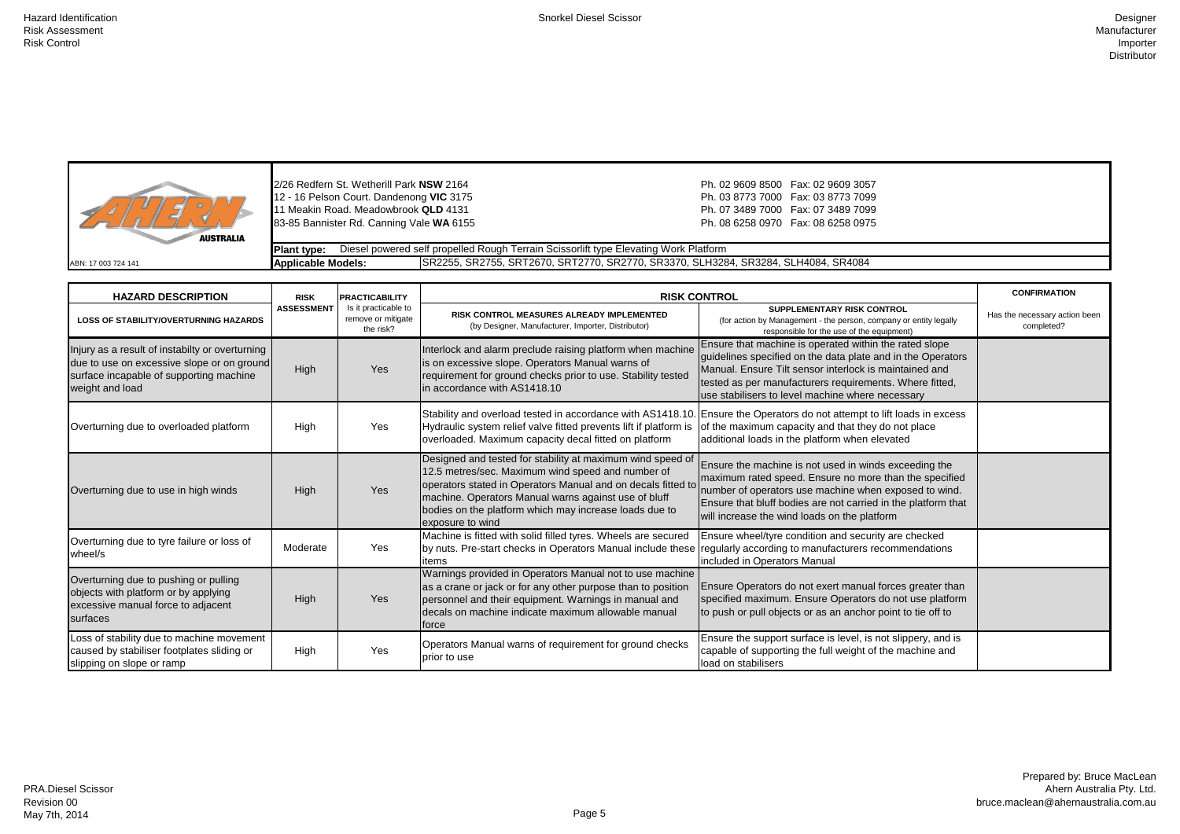2/26 Redfern St. Wetherill Park **NSW** 2164 Ph. 02 9609 8500 Fax: 02 9609 3057 12 - 16 Pelson Court. Dandenong **VIC** 3175 Ph. 03 8773 7000 Fax: 03 8773 7099 11 Meakin Road. Meadowbrook QLD 4131 and the state of the state of the Sandy Ph. 07 3489 7000 Fax: 07 3489 7099<br>B3-85 Bannister Rd. Canning Vale WA 6155 and the state of the state of the Sandy Ph. 08 6258 0970 Fax: 08 6258 83-85 Bannister Rd. Canning Vale WA 6155



| <b>CONFIRMATION</b>                         |
|---------------------------------------------|
| Has the necessary action been<br>completed? |
|                                             |
|                                             |
|                                             |
|                                             |
|                                             |
|                                             |
|                                             |

**Plant type:** Diesel powered self propelled Rough Terrain Scissorlift type Elevating Work Platform SR2255, SR2755, SRT2670, SRT2770, SR2770, SR3370, SLH3284, SR3284, SLH4084, SR4084

| <b>HAZARD DESCRIPTION</b>                                                                                                                                   | <b>RISK</b>       | <b>PRACTICABILITY</b>                                   | <b>RISK CONTROL</b>                                                                                                                                                                                                                                                                                                   |                                                                                                                                                                                                                                                                                                | <b>CONFIRMATION</b>                   |
|-------------------------------------------------------------------------------------------------------------------------------------------------------------|-------------------|---------------------------------------------------------|-----------------------------------------------------------------------------------------------------------------------------------------------------------------------------------------------------------------------------------------------------------------------------------------------------------------------|------------------------------------------------------------------------------------------------------------------------------------------------------------------------------------------------------------------------------------------------------------------------------------------------|---------------------------------------|
| <b>LOSS OF STABILITY/OVERTURNING HAZARDS</b>                                                                                                                | <b>ASSESSMENT</b> | Is it practicable to<br>remove or mitigate<br>the risk? | RISK CONTROL MEASURES ALREADY IMPLEMENTED<br>(by Designer, Manufacturer, Importer, Distributor)                                                                                                                                                                                                                       | <b>SUPPLEMENTARY RISK CONTROL</b><br>(for action by Management - the person, company or entity legally<br>responsible for the use of the equipment)                                                                                                                                            | Has the necessary actic<br>completed? |
| Injury as a result of instabilty or overturning<br>due to use on excessive slope or on ground<br>surface incapable of supporting machine<br>weight and load | High              | Yes                                                     | Interlock and alarm preclude raising platform when machine<br>is on excessive slope. Operators Manual warns of<br>requirement for ground checks prior to use. Stability tested<br>in accordance with AS1418.10                                                                                                        | Ensure that machine is operated within the rated slope<br>guidelines specified on the data plate and in the Operators<br>Manual. Ensure Tilt sensor interlock is maintained and<br>tested as per manufacturers requirements. Where fitted,<br>use stabilisers to level machine where necessary |                                       |
| Overturning due to overloaded platform                                                                                                                      | High              | Yes                                                     | Stability and overload tested in accordance with AS1418.10. Ensure the Operators do not attempt to lift loads in excess<br>Hydraulic system relief valve fitted prevents lift if platform is of the maximum capacity and that they do not place<br>overloaded. Maximum capacity decal fitted on platform              | additional loads in the platform when elevated                                                                                                                                                                                                                                                 |                                       |
| Overturning due to use in high winds                                                                                                                        | High              | Yes                                                     | Designed and tested for stability at maximum wind speed of<br>12.5 metres/sec. Maximum wind speed and number of<br>operators stated in Operators Manual and on decals fitted to<br>machine. Operators Manual warns against use of bluff<br>bodies on the platform which may increase loads due to<br>exposure to wind | Ensure the machine is not used in winds exceeding the<br>maximum rated speed. Ensure no more than the specified<br>number of operators use machine when exposed to wind.<br>Ensure that bluff bodies are not carried in the platform that<br>will increase the wind loads on the platform      |                                       |
| Overturning due to tyre failure or loss of<br>wheel/s                                                                                                       | Moderate          | Yes                                                     | Machine is fitted with solid filled tyres. Wheels are secured<br>by nuts. Pre-start checks in Operators Manual include these regularly according to manufacturers recommendations<br>litems                                                                                                                           | Ensure wheel/tyre condition and security are checked<br>included in Operators Manual                                                                                                                                                                                                           |                                       |
| Overturning due to pushing or pulling<br>objects with platform or by applying<br>excessive manual force to adjacent<br>surfaces                             | High              | Yes                                                     | Warnings provided in Operators Manual not to use machine<br>as a crane or jack or for any other purpose than to position<br>personnel and their equipment. Warnings in manual and<br>decals on machine indicate maximum allowable manual<br><b>Iforce</b>                                                             | Ensure Operators do not exert manual forces greater than<br>specified maximum. Ensure Operators do not use platform<br>to push or pull objects or as an anchor point to tie off to                                                                                                             |                                       |
| Loss of stability due to machine movement<br>caused by stabiliser footplates sliding or<br>slipping on slope or ramp                                        | High              | Yes                                                     | Operators Manual warns of requirement for ground checks<br>prior to use                                                                                                                                                                                                                                               | Ensure the support surface is level, is not slippery, and is<br>capable of supporting the full weight of the machine and<br>load on stabilisers                                                                                                                                                |                                       |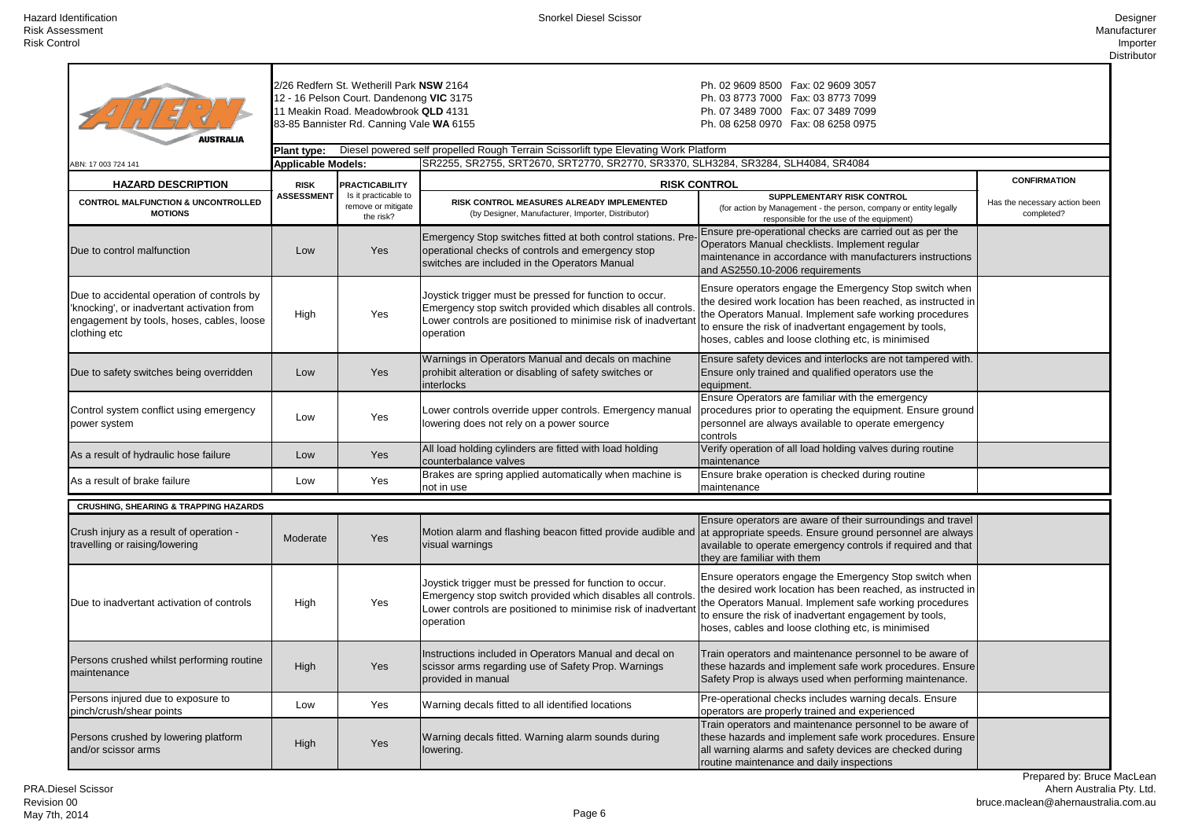Prepared by: Bruce MacLean Ahern Australia Pty. Ltd. bruce.maclean@ahernaustralia.com.au

|                                                           | <b>CONFIRMATION</b>                         |
|-----------------------------------------------------------|---------------------------------------------|
| itity legally                                             | Has the necessary action been<br>completed? |
| s per the                                                 |                                             |
| instructions                                              |                                             |
| witch when<br>instructed in<br>orocedures<br>tools,<br>эd |                                             |
| pered with.<br>the                                        |                                             |
| ;у<br>sure ground<br>jency                                |                                             |
| routine                                                   |                                             |
| e                                                         |                                             |
|                                                           |                                             |
| s and travel<br>l are always<br>ed and that               |                                             |
| witch when<br>instructed in<br>orocedures<br>tools,<br>эq |                                             |
| e aware of<br><b>ires.</b> Ensure<br>intenance.           |                                             |
| Ensure                                                    |                                             |
| e aware of<br><b>ires.</b> Ensure<br>ed during            |                                             |

| AUSTRALIA                                                                                                                                             |                           | 2/26 Redfern St. Wetherill Park NSW 2164<br>12 - 16 Pelson Court. Dandenong VIC 3175<br>11 Meakin Road. Meadowbrook QLD 4131<br>83-85 Bannister Rd. Canning Vale WA 6155 |                                                                                                                                                                                                      | Ph. 02 9609 8500 Fax: 02 9609 3057<br>Ph. 03 8773 7000 Fax: 03 8773 7099<br>Ph. 07 3489 7000 Fax: 07 3489 7099<br>Ph. 08 6258 0970  Fax: 08 6258 0975                                                                                                                                             |                                       |
|-------------------------------------------------------------------------------------------------------------------------------------------------------|---------------------------|--------------------------------------------------------------------------------------------------------------------------------------------------------------------------|------------------------------------------------------------------------------------------------------------------------------------------------------------------------------------------------------|---------------------------------------------------------------------------------------------------------------------------------------------------------------------------------------------------------------------------------------------------------------------------------------------------|---------------------------------------|
|                                                                                                                                                       | <b>Plant type:</b>        |                                                                                                                                                                          | Diesel powered self propelled Rough Terrain Scissorlift type Elevating Work Platform                                                                                                                 |                                                                                                                                                                                                                                                                                                   |                                       |
| ABN: 17 003 724 141                                                                                                                                   | <b>Applicable Models:</b> |                                                                                                                                                                          | SR2255, SR2755, SRT2670, SRT2770, SR2770, SR3370, SLH3284, SR3284, SLH4084, SR4084                                                                                                                   |                                                                                                                                                                                                                                                                                                   |                                       |
| <b>HAZARD DESCRIPTION</b>                                                                                                                             | <b>RISK</b>               | <b>PRACTICABILITY</b>                                                                                                                                                    |                                                                                                                                                                                                      | <b>RISK CONTROL</b>                                                                                                                                                                                                                                                                               | <b>CONFIRMATION</b>                   |
| <b>CONTROL MALFUNCTION &amp; UNCONTROLLED</b><br><b>MOTIONS</b>                                                                                       | <b>ASSESSMENT</b>         | Is it practicable to<br>remove or mitigate<br>the risk?                                                                                                                  | <b>RISK CONTROL MEASURES ALREADY IMPLEMENTED</b><br>(by Designer, Manufacturer, Importer, Distributor)                                                                                               | <b>SUPPLEMENTARY RISK CONTROL</b><br>(for action by Management - the person, company or entity legally<br>responsible for the use of the equipment)                                                                                                                                               | Has the necessary actic<br>completed? |
| Due to control malfunction                                                                                                                            | Low                       | Yes                                                                                                                                                                      | Emergency Stop switches fitted at both control stations. Pre-<br>operational checks of controls and emergency stop<br>switches are included in the Operators Manual                                  | Ensure pre-operational checks are carried out as per the<br>Operators Manual checklists. Implement regular<br>maintenance in accordance with manufacturers instructions<br>and AS2550.10-2006 requirements                                                                                        |                                       |
| Due to accidental operation of controls by<br>'knocking', or inadvertant activation from<br>engagement by tools, hoses, cables, loose<br>clothing etc | High                      | Yes                                                                                                                                                                      | Joystick trigger must be pressed for function to occur.<br>Emergency stop switch provided which disables all controls.<br>Lower controls are positioned to minimise risk of inadvertan<br>operation  | Ensure operators engage the Emergency Stop switch when<br>the desired work location has been reached, as instructed in<br>the Operators Manual. Implement safe working procedures<br>to ensure the risk of inadvertant engagement by tools,<br>hoses, cables and loose clothing etc, is minimised |                                       |
| Due to safety switches being overridden                                                                                                               | Low                       | Yes                                                                                                                                                                      | Warnings in Operators Manual and decals on machine<br>prohibit alteration or disabling of safety switches or<br>interlocks                                                                           | Ensure safety devices and interlocks are not tampered with.<br>Ensure only trained and qualified operators use the<br>equipment.                                                                                                                                                                  |                                       |
| Control system conflict using emergency<br>power system                                                                                               | Low                       | Yes                                                                                                                                                                      | Lower controls override upper controls. Emergency manual<br>lowering does not rely on a power source                                                                                                 | Ensure Operators are familiar with the emergency<br>procedures prior to operating the equipment. Ensure ground<br>personnel are always available to operate emergency<br>controls                                                                                                                 |                                       |
| As a result of hydraulic hose failure                                                                                                                 | Low                       | Yes                                                                                                                                                                      | All load holding cylinders are fitted with load holding<br>counterbalance valves                                                                                                                     | Verify operation of all load holding valves during routine<br>maintenance                                                                                                                                                                                                                         |                                       |
| As a result of brake failure                                                                                                                          | Low                       | Yes                                                                                                                                                                      | Brakes are spring applied automatically when machine is<br>not in use                                                                                                                                | Ensure brake operation is checked during routine<br>maintenance                                                                                                                                                                                                                                   |                                       |
| <b>CRUSHING, SHEARING &amp; TRAPPING HAZARDS</b>                                                                                                      |                           |                                                                                                                                                                          |                                                                                                                                                                                                      |                                                                                                                                                                                                                                                                                                   |                                       |
| Crush injury as a result of operation -<br>travelling or raising/lowering                                                                             | Moderate                  | Yes                                                                                                                                                                      | visual warnings                                                                                                                                                                                      | Ensure operators are aware of their surroundings and travel<br>Motion alarm and flashing beacon fitted provide audible and at appropriate speeds. Ensure ground personnel are always<br>available to operate emergency controls if required and that<br>they are familiar with them               |                                       |
| Due to inadvertant activation of controls                                                                                                             | High                      | Yes                                                                                                                                                                      | Joystick trigger must be pressed for function to occur.<br>Emergency stop switch provided which disables all controls.<br>Lower controls are positioned to minimise risk of inadvertant<br>operation | Ensure operators engage the Emergency Stop switch when<br>the desired work location has been reached, as instructed in<br>the Operators Manual. Implement safe working procedures<br>to ensure the risk of inadvertant engagement by tools,<br>hoses, cables and loose clothing etc, is minimised |                                       |
| Persons crushed whilst performing routine<br>maintenance                                                                                              | High                      | Yes                                                                                                                                                                      | Instructions included in Operators Manual and decal on<br>scissor arms regarding use of Safety Prop. Warnings<br>provided in manual                                                                  | Train operators and maintenance personnel to be aware of<br>these hazards and implement safe work procedures. Ensure<br>Safety Prop is always used when performing maintenance.                                                                                                                   |                                       |
| Persons injured due to exposure to<br>pinch/crush/shear points                                                                                        | Low                       | Yes                                                                                                                                                                      | Warning decals fitted to all identified locations                                                                                                                                                    | Pre-operational checks includes warning decals. Ensure<br>operators are properly trained and experienced                                                                                                                                                                                          |                                       |
| Persons crushed by lowering platform<br>and/or scissor arms                                                                                           | High                      | Yes                                                                                                                                                                      | Warning decals fitted. Warning alarm sounds during<br>lowering.                                                                                                                                      | Train operators and maintenance personnel to be aware of<br>these hazards and implement safe work procedures. Ensure<br>all warning alarms and safety devices are checked during<br>routine maintenance and daily inspections                                                                     |                                       |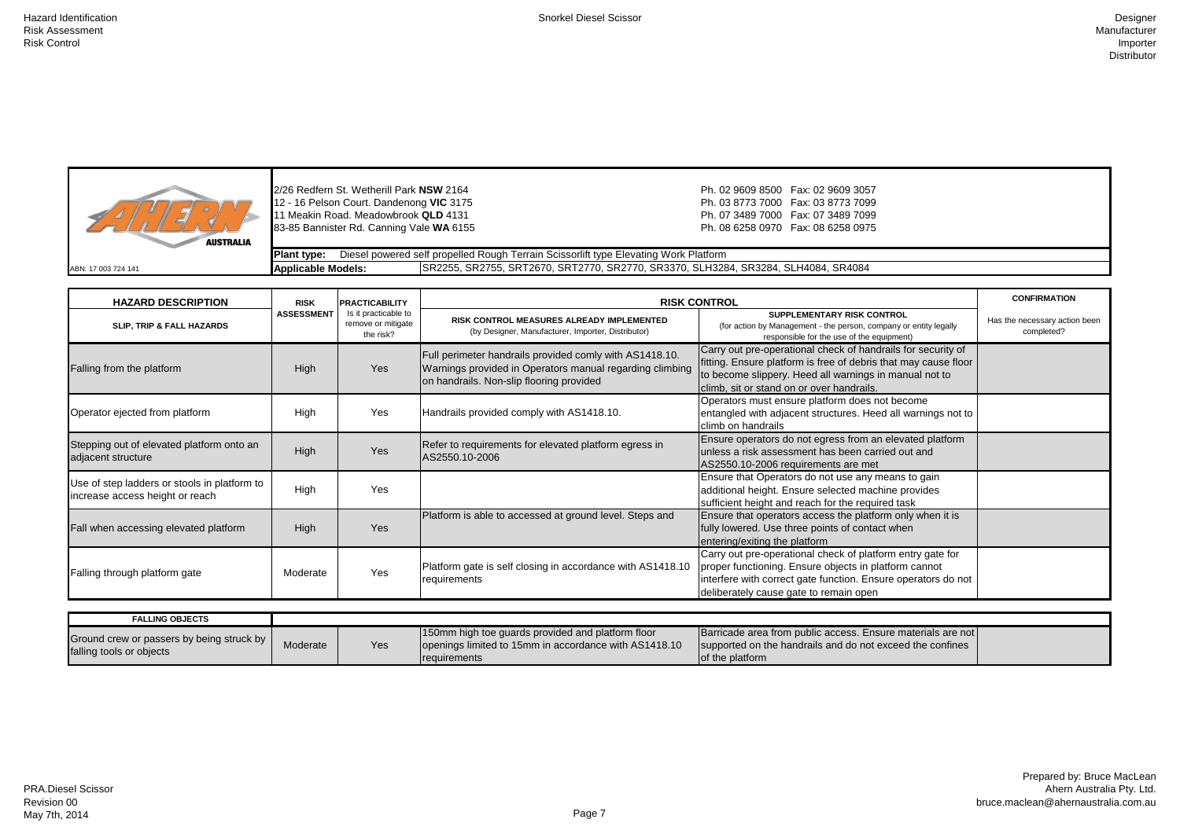| œ                   |  |
|---------------------|--|
| <b>AUSTRALIA</b>    |  |
| ABN: 17 003 724 141 |  |

2/26 Redfern St. Wetherill Park **NSW** 2164 Ph. 02 9609 8500 Fax: 02 9609 3057 12 - 16 Pelson Court. Dandenong **VIC** 3175 Ph. 03 8773 7000 Fax: 03 8773 7099 11 Meakin Road. Meadowbrook QLD 4131 **Ph. 07 3489 7000 Fax: 07 3489 7099**<br>B3-85 Bannister Rd. Canning Vale WA 6155 **Ph. 08 6258 0970 Fax: 08 6258 0975** 83-85 Bannister Rd. Canning Vale WA 6155

|                                        | <b>CONFIRMATION</b>                         |
|----------------------------------------|---------------------------------------------|
| itity legally                          | Has the necessary action been<br>completed? |
| security of<br>cause floor<br>I not to |                                             |
| ιe<br>nings not to                     |                                             |
| d platform<br>ınd                      |                                             |
| gain<br>ides                           |                                             |
| when it is                             |                                             |
| gate for<br>innot<br>ators do not      |                                             |
|                                        |                                             |
|                                        |                                             |

| rials are not |  |
|---------------|--|
| e confines    |  |
|               |  |

|                     | -<br><b>Plant type:</b><br>Diesel | Platform<br>Work F<br>.ın Scissorlift tvpe F<br>ı Terrain<br>I powered self propelled Rough_<br>, Elevating '                                             |
|---------------------|-----------------------------------|-----------------------------------------------------------------------------------------------------------------------------------------------------------|
| ABN: 17 003 724 141 | <b>Applicable Models:</b>         | ີRT2670. ປ<br>SR3370.<br>SR4084<br>. SR2755<br>SLH3284,<br>SR3284.<br>SRT2770.<br>SR2770.<br><b>SR2255</b><br>$\sim$ $\sim$ $\sim$<br>H4084<br>ง⊔เ<br>, ت |

| <b>FALLING OBJECTS</b>                                                  |          |     |                                                                                                                                    |                                                                                                                                              |
|-------------------------------------------------------------------------|----------|-----|------------------------------------------------------------------------------------------------------------------------------------|----------------------------------------------------------------------------------------------------------------------------------------------|
| Ground crew or passers by being struck by V<br>falling tools or objects | Moderate | Yes | 150mm high toe guards provided and platform floor<br>openings limited to 15mm in accordance with AS1418.10<br><b>Trequirements</b> | Barricade area from public access. Ensure materials are not<br>supported on the handrails and do not exceed the confines<br>lof the platform |

| <b>HAZARD DESCRIPTION</b>                                                       | <b>RISK</b>       | <b>PRACTICABILITY</b><br>Is it practicable to<br>remove or mitigate<br>the risk? | <b>RISK CONTROL</b>                                                                                                                                             |                                                                                                                                                                                                                                        |                                       |
|---------------------------------------------------------------------------------|-------------------|----------------------------------------------------------------------------------|-----------------------------------------------------------------------------------------------------------------------------------------------------------------|----------------------------------------------------------------------------------------------------------------------------------------------------------------------------------------------------------------------------------------|---------------------------------------|
| <b>SLIP, TRIP &amp; FALL HAZARDS</b>                                            | <b>ASSESSMENT</b> |                                                                                  | <b>RISK CONTROL MEASURES ALREADY IMPLEMENTED</b><br>(by Designer, Manufacturer, Importer, Distributor)                                                          | <b>SUPPLEMENTARY RISK CONTROL</b><br>(for action by Management - the person, company or entity legally<br>responsible for the use of the equipment)                                                                                    | Has the necessary actic<br>completed? |
| Falling from the platform                                                       | High              | Yes                                                                              | Full perimeter handrails provided comly with AS1418.10.<br>Warnings provided in Operators manual regarding climbing<br>on handrails. Non-slip flooring provided | Carry out pre-operational check of handrails for security of<br>fitting. Ensure platform is free of debris that may cause floor<br>to become slippery. Heed all warnings in manual not to<br>climb, sit or stand on or over handrails. |                                       |
| Operator ejected from platform                                                  | High              | Yes                                                                              | Handrails provided comply with AS1418.10.                                                                                                                       | Operators must ensure platform does not become<br>entangled with adjacent structures. Heed all warnings not to<br>climb on handrails                                                                                                   |                                       |
| Stepping out of elevated platform onto an<br>adjacent structure                 | High              | Yes                                                                              | Refer to requirements for elevated platform egress in<br>AS2550.10-2006                                                                                         | Ensure operators do not egress from an elevated platform<br>unless a risk assessment has been carried out and<br>AS2550.10-2006 requirements are met                                                                                   |                                       |
| Use of step ladders or stools in platform to<br>increase access height or reach | High              | Yes                                                                              |                                                                                                                                                                 | Ensure that Operators do not use any means to gain<br>additional height. Ensure selected machine provides<br>sufficient height and reach for the required task                                                                         |                                       |
| Fall when accessing elevated platform                                           | High              | Yes                                                                              | Platform is able to accessed at ground level. Steps and                                                                                                         | Ensure that operators access the platform only when it is<br>fully lowered. Use three points of contact when<br>entering/exiting the platform                                                                                          |                                       |
| Falling through platform gate                                                   | Moderate          | Yes                                                                              | Platform gate is self closing in accordance with AS1418.10<br>requirements                                                                                      | Carry out pre-operational check of platform entry gate for<br>proper functioning. Ensure objects in platform cannot<br>interfere with correct gate function. Ensure operators do not<br>deliberately cause gate to remain open         |                                       |